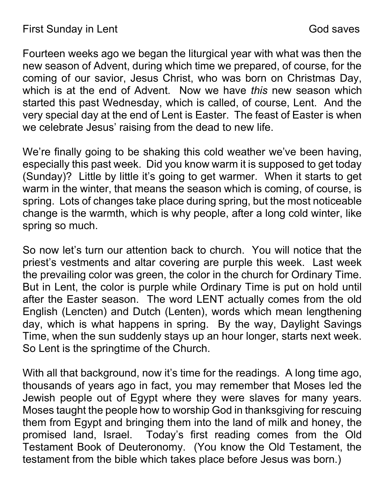Fourteen weeks ago we began the liturgical year with what was then the new season of Advent, during which time we prepared, of course, for the coming of our savior, Jesus Christ, who was born on Christmas Day, which is at the end of Advent. Now we have this new season which started this past Wednesday, which is called, of course, Lent. And the very special day at the end of Lent is Easter. The feast of Easter is when we celebrate Jesus' raising from the dead to new life.

We're finally going to be shaking this cold weather we've been having, especially this past week. Did you know warm it is supposed to get today (Sunday)? Little by little it's going to get warmer. When it starts to get warm in the winter, that means the season which is coming, of course, is spring. Lots of changes take place during spring, but the most noticeable change is the warmth, which is why people, after a long cold winter, like spring so much.

So now let's turn our attention back to church. You will notice that the priest's vestments and altar covering are purple this week. Last week the prevailing color was green, the color in the church for Ordinary Time. But in Lent, the color is purple while Ordinary Time is put on hold until after the Easter season. The word LENT actually comes from the old English (Lencten) and Dutch (Lenten), words which mean lengthening day, which is what happens in spring. By the way, Daylight Savings Time, when the sun suddenly stays up an hour longer, starts next week. So Lent is the springtime of the Church.

With all that background, now it's time for the readings. A long time ago, thousands of years ago in fact, you may remember that Moses led the Jewish people out of Egypt where they were slaves for many years. Moses taught the people how to worship God in thanksgiving for rescuing them from Egypt and bringing them into the land of milk and honey, the promised land, Israel. Today's first reading comes from the Old Testament Book of Deuteronomy. (You know the Old Testament, the testament from the bible which takes place before Jesus was born.)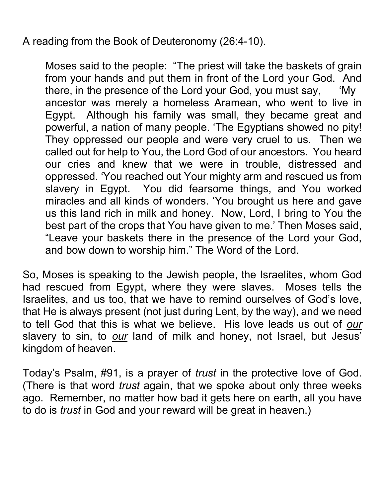A reading from the Book of Deuteronomy (26:4-10).

Moses said to the people: "The priest will take the baskets of grain from your hands and put them in front of the Lord your God. And there, in the presence of the Lord your God, you must say, 'My ancestor was merely a homeless Aramean, who went to live in Egypt. Although his family was small, they became great and powerful, a nation of many people. 'The Egyptians showed no pity! They oppressed our people and were very cruel to us. Then we called out for help to You, the Lord God of our ancestors. You heard our cries and knew that we were in trouble, distressed and oppressed. 'You reached out Your mighty arm and rescued us from slavery in Egypt. You did fearsome things, and You worked miracles and all kinds of wonders. 'You brought us here and gave us this land rich in milk and honey. Now, Lord, I bring to You the best part of the crops that You have given to me.' Then Moses said, "Leave your baskets there in the presence of the Lord your God, and bow down to worship him." The Word of the Lord.

So, Moses is speaking to the Jewish people, the Israelites, whom God had rescued from Egypt, where they were slaves. Moses tells the Israelites, and us too, that we have to remind ourselves of God's love, that He is always present (not just during Lent, by the way), and we need to tell God that this is what we believe. His love leads us out of our slavery to sin, to our land of milk and honey, not Israel, but Jesus' kingdom of heaven.

Today's Psalm, #91, is a prayer of trust in the protective love of God. (There is that word *trust* again, that we spoke about only three weeks ago. Remember, no matter how bad it gets here on earth, all you have to do is *trust* in God and your reward will be great in heaven.)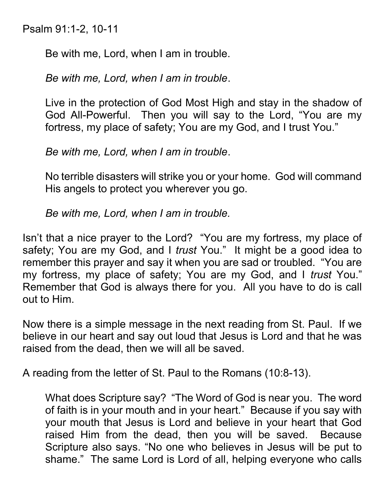Psalm 91:1-2, 10-11

Be with me, Lord, when I am in trouble.

Be with me, Lord, when I am in trouble.

Live in the protection of God Most High and stay in the shadow of God All-Powerful. Then you will say to the Lord, "You are my fortress, my place of safety; You are my God, and I trust You."

Be with me, Lord, when I am in trouble.

No terrible disasters will strike you or your home. God will command His angels to protect you wherever you go.

Be with me, Lord, when I am in trouble.

Isn't that a nice prayer to the Lord? "You are my fortress, my place of safety; You are my God, and I trust You." It might be a good idea to remember this prayer and say it when you are sad or troubled. "You are my fortress, my place of safety; You are my God, and I trust You." Remember that God is always there for you. All you have to do is call out to Him.

Now there is a simple message in the next reading from St. Paul. If we believe in our heart and say out loud that Jesus is Lord and that he was raised from the dead, then we will all be saved.

A reading from the letter of St. Paul to the Romans (10:8-13).

What does Scripture say? "The Word of God is near you. The word of faith is in your mouth and in your heart." Because if you say with your mouth that Jesus is Lord and believe in your heart that God raised Him from the dead, then you will be saved. Because Scripture also says. "No one who believes in Jesus will be put to shame." The same Lord is Lord of all, helping everyone who calls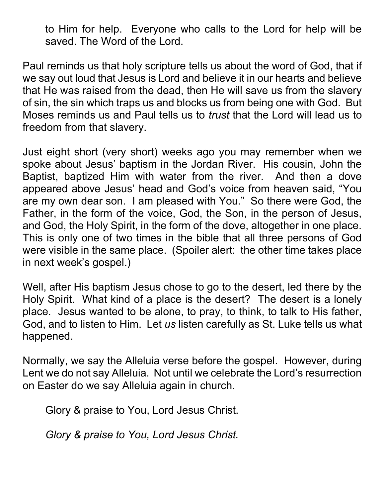to Him for help. Everyone who calls to the Lord for help will be saved. The Word of the Lord.

Paul reminds us that holy scripture tells us about the word of God, that if we say out loud that Jesus is Lord and believe it in our hearts and believe that He was raised from the dead, then He will save us from the slavery of sin, the sin which traps us and blocks us from being one with God. But Moses reminds us and Paul tells us to trust that the Lord will lead us to freedom from that slavery.

Just eight short (very short) weeks ago you may remember when we spoke about Jesus' baptism in the Jordan River. His cousin, John the Baptist, baptized Him with water from the river. And then a dove appeared above Jesus' head and God's voice from heaven said, "You are my own dear son. I am pleased with You." So there were God, the Father, in the form of the voice, God, the Son, in the person of Jesus, and God, the Holy Spirit, in the form of the dove, altogether in one place. This is only one of two times in the bible that all three persons of God were visible in the same place. (Spoiler alert: the other time takes place in next week's gospel.)

Well, after His baptism Jesus chose to go to the desert, led there by the Holy Spirit. What kind of a place is the desert? The desert is a lonely place. Jesus wanted to be alone, to pray, to think, to talk to His father, God, and to listen to Him. Let us listen carefully as St. Luke tells us what happened.

Normally, we say the Alleluia verse before the gospel. However, during Lent we do not say Alleluia. Not until we celebrate the Lord's resurrection on Easter do we say Alleluia again in church.

Glory & praise to You, Lord Jesus Christ.

Glory & praise to You, Lord Jesus Christ.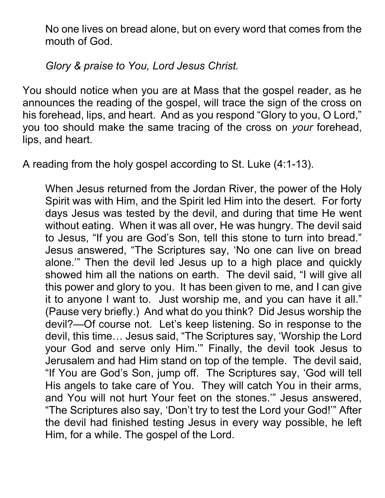No one lives on bread alone, but on every word that comes from the mouth of God.

Glory & praise to You, Lord Jesus Christ.

You should notice when you are at Mass that the gospel reader, as he announces the reading of the gospel, will trace the sign of the cross on his forehead, lips, and heart. And as you respond "Glory to you, O Lord," you too should make the same tracing of the cross on your forehead, lips, and heart.

A reading from the holy gospel according to St. Luke (4:1-13).

When Jesus returned from the Jordan River, the power of the Holy Spirit was with Him, and the Spirit led Him into the desert. For forty days Jesus was tested by the devil, and during that time He went without eating. When it was all over, He was hungry. The devil said to Jesus, "If you are God's Son, tell this stone to turn into bread." Jesus answered, "The Scriptures say, 'No one can live on bread alone.'" Then the devil led Jesus up to a high place and quickly showed him all the nations on earth. The devil said, "I will give all this power and glory to you. It has been given to me, and I can give it to anyone I want to. Just worship me, and you can have it all." (Pause very briefly.) And what do you think? Did Jesus worship the devil?—Of course not. Let's keep listening. So in response to the devil, this time… Jesus said, "The Scriptures say, 'Worship the Lord your God and serve only Him.'" Finally, the devil took Jesus to Jerusalem and had Him stand on top of the temple. The devil said, "If You are God's Son, jump off. The Scriptures say, 'God will tell His angels to take care of You. They will catch You in their arms, and You will not hurt Your feet on the stones.'" Jesus answered, "The Scriptures also say, 'Don't try to test the Lord your God!'" After the devil had finished testing Jesus in every way possible, he left Him, for a while. The gospel of the Lord.